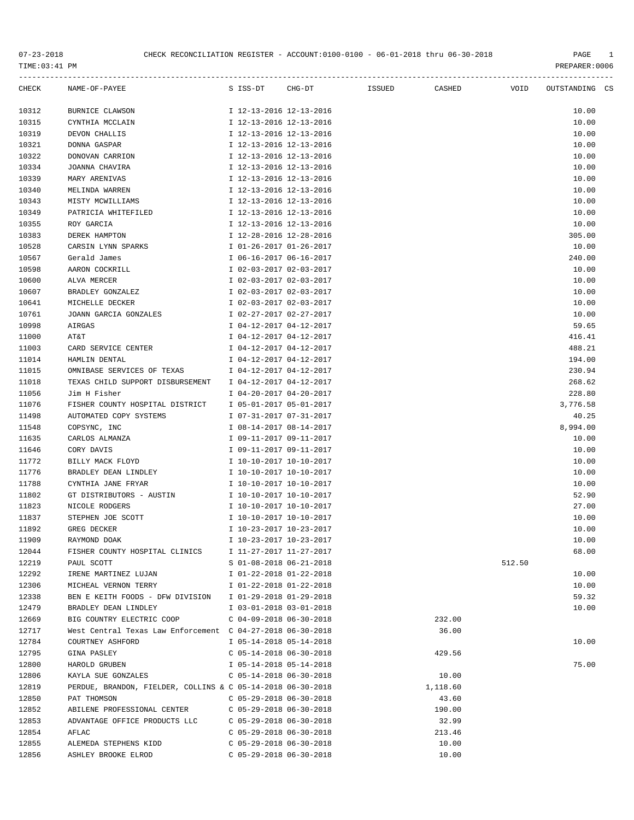| TIME:03:41 PM |                                                             |                           |        |        |          |        | PREPARER: 0006 |  |
|---------------|-------------------------------------------------------------|---------------------------|--------|--------|----------|--------|----------------|--|
| CHECK         | NAME-OF-PAYEE                                               | S ISS-DT                  | CHG-DT | ISSUED | CASHED   | VOID   | OUTSTANDING CS |  |
| 10312         | BURNICE CLAWSON                                             | I 12-13-2016 12-13-2016   |        |        |          |        | 10.00          |  |
| 10315         | CYNTHIA MCCLAIN                                             | I 12-13-2016 12-13-2016   |        |        |          |        | 10.00          |  |
| 10319         | DEVON CHALLIS                                               | I 12-13-2016 12-13-2016   |        |        |          |        | 10.00          |  |
| 10321         | DONNA GASPAR                                                | I 12-13-2016 12-13-2016   |        |        |          |        | 10.00          |  |
| 10322         | DONOVAN CARRION                                             | I 12-13-2016 12-13-2016   |        |        |          |        | 10.00          |  |
| 10334         | JOANNA CHAVIRA                                              | I 12-13-2016 12-13-2016   |        |        |          |        | 10.00          |  |
| 10339         | MARY ARENIVAS                                               | I 12-13-2016 12-13-2016   |        |        |          |        | 10.00          |  |
| 10340         | MELINDA WARREN                                              | I 12-13-2016 12-13-2016   |        |        |          |        | 10.00          |  |
| 10343         | MISTY MCWILLIAMS                                            | I 12-13-2016 12-13-2016   |        |        |          |        | 10.00          |  |
| 10349         | PATRICIA WHITEFILED                                         | I 12-13-2016 12-13-2016   |        |        |          |        | 10.00          |  |
| 10355         | ROY GARCIA                                                  | I 12-13-2016 12-13-2016   |        |        |          |        | 10.00          |  |
| 10383         | DEREK HAMPTON                                               | I 12-28-2016 12-28-2016   |        |        |          |        | 305.00         |  |
| 10528         | CARSIN LYNN SPARKS                                          | I 01-26-2017 01-26-2017   |        |        |          |        | 10.00          |  |
| 10567         | Gerald James                                                | I 06-16-2017 06-16-2017   |        |        |          |        | 240.00         |  |
| 10598         | AARON COCKRILL                                              | I 02-03-2017 02-03-2017   |        |        |          |        | 10.00          |  |
| 10600         | ALVA MERCER                                                 | I 02-03-2017 02-03-2017   |        |        |          |        | 10.00          |  |
| 10607         | BRADLEY GONZALEZ                                            | I 02-03-2017 02-03-2017   |        |        |          |        | 10.00          |  |
| 10641         | MICHELLE DECKER                                             | I 02-03-2017 02-03-2017   |        |        |          |        | 10.00          |  |
| 10761         | JOANN GARCIA GONZALES                                       | I 02-27-2017 02-27-2017   |        |        |          |        | 10.00          |  |
| 10998         | AIRGAS                                                      | I 04-12-2017 04-12-2017   |        |        |          |        | 59.65          |  |
| 11000         | AT&T                                                        | I 04-12-2017 04-12-2017   |        |        |          |        | 416.41         |  |
| 11003         | CARD SERVICE CENTER                                         | I 04-12-2017 04-12-2017   |        |        |          |        | 488.21         |  |
| 11014         | HAMLIN DENTAL                                               | I 04-12-2017 04-12-2017   |        |        |          |        | 194.00         |  |
| 11015         | OMNIBASE SERVICES OF TEXAS                                  | I 04-12-2017 04-12-2017   |        |        |          |        | 230.94         |  |
| 11018         | TEXAS CHILD SUPPORT DISBURSEMENT                            | I 04-12-2017 04-12-2017   |        |        |          |        | 268.62         |  |
| 11056         | Jim H Fisher                                                | I 04-20-2017 04-20-2017   |        |        |          |        | 228.80         |  |
| 11076         | FISHER COUNTY HOSPITAL DISTRICT                             | I 05-01-2017 05-01-2017   |        |        |          |        | 3,776.58       |  |
| 11498         | AUTOMATED COPY SYSTEMS                                      | I 07-31-2017 07-31-2017   |        |        |          |        | 40.25          |  |
| 11548         | COPSYNC, INC                                                | I 08-14-2017 08-14-2017   |        |        |          |        | 8,994.00       |  |
| 11635         | CARLOS ALMANZA                                              | I 09-11-2017 09-11-2017   |        |        |          |        | 10.00          |  |
| 11646         | CORY DAVIS                                                  | I 09-11-2017 09-11-2017   |        |        |          |        | 10.00          |  |
| 11772         | BILLY MACK FLOYD                                            | I 10-10-2017 10-10-2017   |        |        |          |        | 10.00          |  |
| 11776         | BRADLEY DEAN LINDLEY                                        | I 10-10-2017 10-10-2017   |        |        |          |        | 10.00          |  |
| 11788         | CYNTHIA JANE FRYAR                                          | I 10-10-2017 10-10-2017   |        |        |          |        | 10.00          |  |
| 11802         | GT DISTRIBUTORS - AUSTIN                                    | I 10-10-2017 10-10-2017   |        |        |          |        | 52.90          |  |
| 11823         | NICOLE RODGERS                                              | I 10-10-2017 10-10-2017   |        |        |          |        | 27.00          |  |
| 11837         | STEPHEN JOE SCOTT                                           | I 10-10-2017 10-10-2017   |        |        |          |        | 10.00          |  |
| 11892         | GREG DECKER                                                 | I 10-23-2017 10-23-2017   |        |        |          |        | 10.00          |  |
| 11909         | RAYMOND DOAK                                                | I 10-23-2017 10-23-2017   |        |        |          |        | 10.00          |  |
| 12044         | FISHER COUNTY HOSPITAL CLINICS                              | I 11-27-2017 11-27-2017   |        |        |          |        | 68.00          |  |
| 12219         | PAUL SCOTT                                                  | S 01-08-2018 06-21-2018   |        |        |          | 512.50 |                |  |
| 12292         | IRENE MARTINEZ LUJAN                                        | I 01-22-2018 01-22-2018   |        |        |          |        | 10.00          |  |
| 12306         | MICHEAL VERNON TERRY                                        | I 01-22-2018 01-22-2018   |        |        |          |        | 10.00          |  |
| 12338         | BEN E KEITH FOODS - DFW DIVISION                            | I 01-29-2018 01-29-2018   |        |        |          |        | 59.32          |  |
| 12479         | BRADLEY DEAN LINDLEY                                        | I 03-01-2018 03-01-2018   |        |        |          |        | 10.00          |  |
| 12669         | BIG COUNTRY ELECTRIC COOP                                   | $C$ 04-09-2018 06-30-2018 |        |        | 232.00   |        |                |  |
| 12717         | West Central Texas Law Enforcement C 04-27-2018 06-30-2018  |                           |        |        | 36.00    |        |                |  |
| 12784         | COURTNEY ASHFORD                                            | I 05-14-2018 05-14-2018   |        |        |          |        | 10.00          |  |
| 12795         | GINA PASLEY                                                 | $C$ 05-14-2018 06-30-2018 |        |        | 429.56   |        |                |  |
| 12800         | HAROLD GRUBEN                                               | I 05-14-2018 05-14-2018   |        |        |          |        | 75.00          |  |
| 12806         | KAYLA SUE GONZALES                                          | $C$ 05-14-2018 06-30-2018 |        |        | 10.00    |        |                |  |
| 12819         | PERDUE, BRANDON, FIELDER, COLLINS & C 05-14-2018 06-30-2018 |                           |        |        | 1,118.60 |        |                |  |
| 12850         | PAT THOMSON                                                 | $C$ 05-29-2018 06-30-2018 |        |        | 43.60    |        |                |  |
| 12852         | ABILENE PROFESSIONAL CENTER                                 | $C$ 05-29-2018 06-30-2018 |        |        | 190.00   |        |                |  |
| 12853         | ADVANTAGE OFFICE PRODUCTS LLC                               | $C$ 05-29-2018 06-30-2018 |        |        | 32.99    |        |                |  |
| 12854         | AFLAC                                                       | $C$ 05-29-2018 06-30-2018 |        |        | 213.46   |        |                |  |
|               |                                                             |                           |        |        |          |        |                |  |

12855 ALEMEDA STEPHENS KIDD C 05-29-2018 06-30-2018 10.00 12856 ASHLEY BROOKE ELROD C 05-29-2018 06-30-2018 10.00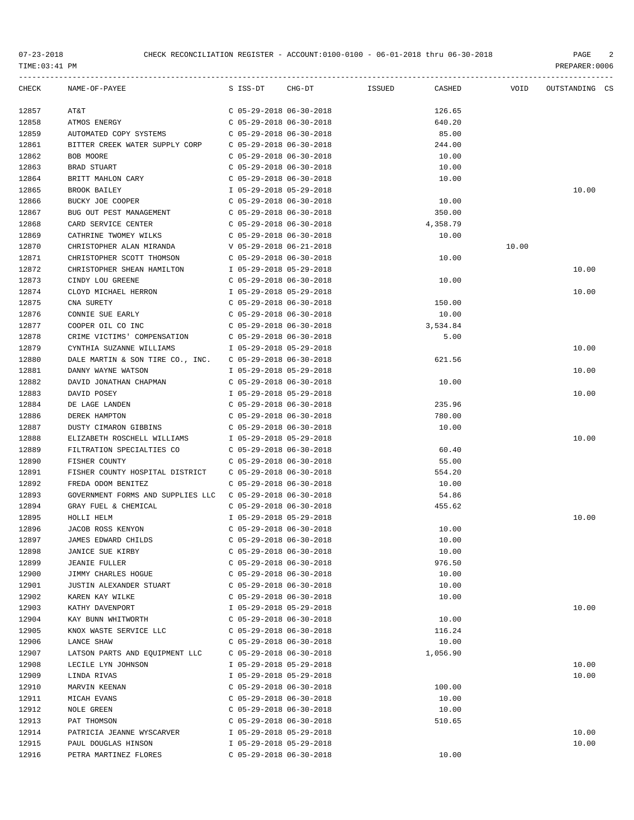| CHECK | NAME-OF-PAYEE                                             |                           | S ISS-DT CHG-DT ISSUED CASHED | <b>VOID</b> | OUTSTANDING CS |  |
|-------|-----------------------------------------------------------|---------------------------|-------------------------------|-------------|----------------|--|
| 12857 | AT&T                                                      | C 05-29-2018 06-30-2018   | 126.65                        |             |                |  |
| 12858 | ATMOS ENERGY                                              | C 05-29-2018 06-30-2018   | 640.20                        |             |                |  |
| 12859 | AUTOMATED COPY SYSTEMS                                    | C 05-29-2018 06-30-2018   | 85.00                         |             |                |  |
| 12861 | BITTER CREEK WATER SUPPLY CORP C 05-29-2018 06-30-2018    |                           | 244.00                        |             |                |  |
| 12862 | BOB MOORE                                                 | $C$ 05-29-2018 06-30-2018 | 10.00                         |             |                |  |
| 12863 | BRAD STUART                                               | $C$ 05-29-2018 06-30-2018 | 10.00                         |             |                |  |
| 12864 | BRITT MAHLON CARY                                         | $C$ 05-29-2018 06-30-2018 | 10.00                         |             |                |  |
| 12865 | BROOK BAILEY                                              | I 05-29-2018 05-29-2018   |                               |             | 10.00          |  |
| 12866 | BUCKY JOE COOPER                                          | $C$ 05-29-2018 06-30-2018 | 10.00                         |             |                |  |
| 12867 | BUG OUT PEST MANAGEMENT                                   | C 05-29-2018 06-30-2018   | 350.00                        |             |                |  |
| 12868 | CARD SERVICE CENTER                                       | C 05-29-2018 06-30-2018   | 4,358.79                      |             |                |  |
| 12869 | CATHRINE TWOMEY WILKS                                     | C 05-29-2018 06-30-2018   | 10.00                         |             |                |  |
| 12870 | CHRISTOPHER ALAN MIRANDA                                  | V 05-29-2018 06-21-2018   |                               | 10.00       |                |  |
| 12871 | CHRISTOPHER SCOTT THOMSON                                 | $C$ 05-29-2018 06-30-2018 | 10.00                         |             |                |  |
| 12872 | CHRISTOPHER SHEAN HAMILTON 1 05-29-2018 05-29-2018        |                           |                               |             | 10.00          |  |
| 12873 | CINDY LOU GREENE                                          | C 05-29-2018 06-30-2018   | 10.00                         |             |                |  |
| 12874 | CLOYD MICHAEL HERRON                                      | I 05-29-2018 05-29-2018   |                               |             | 10.00          |  |
| 12875 | CNA SURETY                                                | $C$ 05-29-2018 06-30-2018 | 150.00                        |             |                |  |
| 12876 | CONNIE SUE EARLY                                          | C 05-29-2018 06-30-2018   | 10.00                         |             |                |  |
| 12877 | COOPER OIL CO INC                                         | C 05-29-2018 06-30-2018   | 3,534.84                      |             |                |  |
| 12878 | CRIME VICTIMS' COMPENSATION C 05-29-2018 06-30-2018       |                           | 5.00                          |             |                |  |
| 12879 | CYNTHIA SUZANNE WILLIAMS                                  | I 05-29-2018 05-29-2018   |                               |             | 10.00          |  |
| 12880 | DALE MARTIN & SON TIRE CO., INC. C 05-29-2018 06-30-2018  |                           | 621.56                        |             |                |  |
| 12881 | DANNY WAYNE WATSON                                        | I 05-29-2018 05-29-2018   |                               |             | 10.00          |  |
| 12882 | DAVID JONATHAN CHAPMAN COS-29-2018 06-30-2018             |                           | 10.00                         |             |                |  |
| 12883 | DAVID POSEY                                               | I 05-29-2018 05-29-2018   |                               |             | 10.00          |  |
| 12884 | DE LAGE LANDEN                                            | C 05-29-2018 06-30-2018   | 235.96                        |             |                |  |
| 12886 | DEREK HAMPTON                                             | C 05-29-2018 06-30-2018   | 780.00                        |             |                |  |
| 12887 | DUSTY CIMARON GIBBINS                                     | C 05-29-2018 06-30-2018   | 10.00                         |             |                |  |
| 12888 | ELIZABETH ROSCHELL WILLIAMS                               | I 05-29-2018 05-29-2018   |                               |             | 10.00          |  |
| 12889 | FILTRATION SPECIALTIES CO C 05-29-2018 06-30-2018         |                           | 60.40                         |             |                |  |
| 12890 | FISHER COUNTY                                             | C 05-29-2018 06-30-2018   | 55.00                         |             |                |  |
| 12891 | FISHER COUNTY HOSPITAL DISTRICT                           | C 05-29-2018 06-30-2018   | 554.20                        |             |                |  |
| 12892 | FREDA ODOM BENITEZ                                        | $C$ 05-29-2018 06-30-2018 | 10.00                         |             |                |  |
| 12893 | GOVERNMENT FORMS AND SUPPLIES LLC C 05-29-2018 06-30-2018 |                           | 54.86                         |             |                |  |
| 12894 | GRAY FUEL & CHEMICAL                                      | $C$ 05-29-2018 06-30-2018 | 455.62                        |             |                |  |
| 12895 | HOLLI HELM                                                | I 05-29-2018 05-29-2018   |                               |             | 10.00          |  |
| 12896 | JACOB ROSS KENYON                                         | $C$ 05-29-2018 06-30-2018 | 10.00                         |             |                |  |
| 12897 | JAMES EDWARD CHILDS                                       | $C$ 05-29-2018 06-30-2018 | 10.00                         |             |                |  |
| 12898 | JANICE SUE KIRBY                                          | $C$ 05-29-2018 06-30-2018 | 10.00                         |             |                |  |
| 12899 | <b>JEANIE FULLER</b>                                      | $C$ 05-29-2018 06-30-2018 | 976.50                        |             |                |  |
| 12900 | JIMMY CHARLES HOGUE                                       | $C$ 05-29-2018 06-30-2018 | 10.00                         |             |                |  |
| 12901 | JUSTIN ALEXANDER STUART                                   | $C$ 05-29-2018 06-30-2018 | 10.00                         |             |                |  |
| 12902 | KAREN KAY WILKE                                           | $C$ 05-29-2018 06-30-2018 | 10.00                         |             |                |  |
| 12903 | KATHY DAVENPORT                                           | I 05-29-2018 05-29-2018   |                               |             | 10.00          |  |
| 12904 | KAY BUNN WHITWORTH                                        | $C$ 05-29-2018 06-30-2018 | 10.00                         |             |                |  |
| 12905 | KNOX WASTE SERVICE LLC                                    | $C$ 05-29-2018 06-30-2018 | 116.24                        |             |                |  |
| 12906 | LANCE SHAW                                                | $C$ 05-29-2018 06-30-2018 | 10.00                         |             |                |  |
| 12907 | LATSON PARTS AND EQUIPMENT LLC                            | $C$ 05-29-2018 06-30-2018 | 1,056.90                      |             |                |  |
| 12908 | LECILE LYN JOHNSON                                        | I 05-29-2018 05-29-2018   |                               |             | 10.00          |  |
| 12909 | LINDA RIVAS                                               | I 05-29-2018 05-29-2018   |                               |             | 10.00          |  |
| 12910 | MARVIN KEENAN                                             | $C$ 05-29-2018 06-30-2018 | 100.00                        |             |                |  |
| 12911 | MICAH EVANS                                               | $C$ 05-29-2018 06-30-2018 | 10.00                         |             |                |  |
| 12912 | NOLE GREEN                                                | $C$ 05-29-2018 06-30-2018 | 10.00                         |             |                |  |
| 12913 | PAT THOMSON                                               | $C$ 05-29-2018 06-30-2018 | 510.65                        |             |                |  |
| 12914 | PATRICIA JEANNE WYSCARVER                                 | I 05-29-2018 05-29-2018   |                               |             | 10.00          |  |
| 12915 | PAUL DOUGLAS HINSON                                       | I 05-29-2018 05-29-2018   |                               |             | 10.00          |  |
| 12916 | PETRA MARTINEZ FLORES                                     | $C$ 05-29-2018 06-30-2018 | 10.00                         |             |                |  |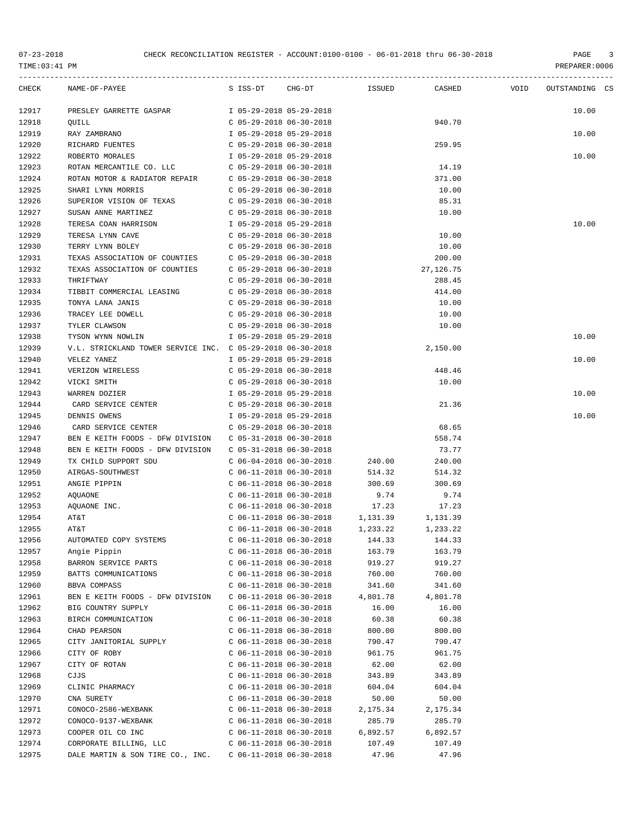| PREPARER: 0 |  |
|-------------|--|
|             |  |

| <b>CHECK</b> | NAME-OF-PAYEE                                              | S ISS-DT                  | CHG-DT | <b>ISSUED</b> | CASHED     | VOID | OUTSTANDING CS |  |
|--------------|------------------------------------------------------------|---------------------------|--------|---------------|------------|------|----------------|--|
| 12917        | PRESLEY GARRETTE GASPAR                                    | I 05-29-2018 05-29-2018   |        |               |            |      | 10.00          |  |
| 12918        | QUILL                                                      | $C$ 05-29-2018 06-30-2018 |        |               | 940.70     |      |                |  |
| 12919        | RAY ZAMBRANO                                               | I 05-29-2018 05-29-2018   |        |               |            |      | 10.00          |  |
| 12920        | RICHARD FUENTES                                            | $C$ 05-29-2018 06-30-2018 |        |               | 259.95     |      |                |  |
| 12922        | ROBERTO MORALES                                            | I 05-29-2018 05-29-2018   |        |               |            |      | 10.00          |  |
| 12923        | ROTAN MERCANTILE CO. LLC                                   | $C$ 05-29-2018 06-30-2018 |        |               | 14.19      |      |                |  |
| 12924        | ROTAN MOTOR & RADIATOR REPAIR                              | $C$ 05-29-2018 06-30-2018 |        |               | 371.00     |      |                |  |
| 12925        | SHARI LYNN MORRIS                                          | $C$ 05-29-2018 06-30-2018 |        |               | 10.00      |      |                |  |
| 12926        | SUPERIOR VISION OF TEXAS                                   | $C$ 05-29-2018 06-30-2018 |        |               | 85.31      |      |                |  |
| 12927        | SUSAN ANNE MARTINEZ                                        | $C$ 05-29-2018 06-30-2018 |        |               | 10.00      |      |                |  |
| 12928        | TERESA COAN HARRISON                                       | I 05-29-2018 05-29-2018   |        |               |            |      | 10.00          |  |
| 12929        | TERESA LYNN CAVE                                           | $C$ 05-29-2018 06-30-2018 |        |               | 10.00      |      |                |  |
|              |                                                            |                           |        |               |            |      |                |  |
| 12930        | TERRY LYNN BOLEY                                           | $C$ 05-29-2018 06-30-2018 |        |               | 10.00      |      |                |  |
| 12931        | TEXAS ASSOCIATION OF COUNTIES                              | $C$ 05-29-2018 06-30-2018 |        |               | 200.00     |      |                |  |
| 12932        | TEXAS ASSOCIATION OF COUNTIES                              | $C$ 05-29-2018 06-30-2018 |        |               | 27, 126.75 |      |                |  |
| 12933        | THRIFTWAY                                                  | $C$ 05-29-2018 06-30-2018 |        |               | 288.45     |      |                |  |
| 12934        | TIBBIT COMMERCIAL LEASING                                  | $C$ 05-29-2018 06-30-2018 |        |               | 414.00     |      |                |  |
| 12935        | TONYA LANA JANIS                                           | $C$ 05-29-2018 06-30-2018 |        |               | 10.00      |      |                |  |
| 12936        | TRACEY LEE DOWELL                                          | $C$ 05-29-2018 06-30-2018 |        |               | 10.00      |      |                |  |
| 12937        | TYLER CLAWSON                                              | $C$ 05-29-2018 06-30-2018 |        |               | 10.00      |      |                |  |
| 12938        | TYSON WYNN NOWLIN                                          | I 05-29-2018 05-29-2018   |        |               |            |      | 10.00          |  |
| 12939        | V.L. STRICKLAND TOWER SERVICE INC. C 05-29-2018 06-30-2018 |                           |        |               | 2,150.00   |      |                |  |
| 12940        | VELEZ YANEZ                                                | I 05-29-2018 05-29-2018   |        |               |            |      | 10.00          |  |
| 12941        | VERIZON WIRELESS                                           | $C$ 05-29-2018 06-30-2018 |        |               | 448.46     |      |                |  |
| 12942        | VICKI SMITH                                                | $C$ 05-29-2018 06-30-2018 |        |               | 10.00      |      |                |  |
| 12943        | WARREN DOZIER                                              | I 05-29-2018 05-29-2018   |        |               |            |      | 10.00          |  |
| 12944        | CARD SERVICE CENTER                                        | $C$ 05-29-2018 06-30-2018 |        |               | 21.36      |      |                |  |
| 12945        | DENNIS OWENS                                               | I 05-29-2018 05-29-2018   |        |               |            |      | 10.00          |  |
| 12946        | CARD SERVICE CENTER                                        | $C$ 05-29-2018 06-30-2018 |        |               | 68.65      |      |                |  |
| 12947        | BEN E KEITH FOODS - DFW DIVISION                           | $C$ 05-31-2018 06-30-2018 |        |               | 558.74     |      |                |  |
| 12948        | BEN E KEITH FOODS - DFW DIVISION                           | $C$ 05-31-2018 06-30-2018 |        |               | 73.77      |      |                |  |
| 12949        | TX CHILD SUPPORT SDU                                       | $C$ 06-04-2018 06-30-2018 |        | 240.00        | 240.00     |      |                |  |
| 12950        | AIRGAS-SOUTHWEST                                           | $C$ 06-11-2018 06-30-2018 |        | 514.32        | 514.32     |      |                |  |
| 12951        | ANGIE PIPPIN                                               | $C$ 06-11-2018 06-30-2018 |        | 300.69        | 300.69     |      |                |  |
| 12952        | <b>AQUAONE</b>                                             | $C$ 06-11-2018 06-30-2018 |        | 9.74          | 9.74       |      |                |  |
| 12953        | AOUAONE INC.                                               | $C$ 06-11-2018 06-30-2018 |        | 17.23         | 17.23      |      |                |  |
| 12954        | AT&T                                                       | $C$ 06-11-2018 06-30-2018 |        | 1,131.39      | 1,131.39   |      |                |  |
| 12955        | AT&T                                                       | $C$ 06-11-2018 06-30-2018 |        | 1,233.22      | 1,233.22   |      |                |  |
| 12956        | AUTOMATED COPY SYSTEMS                                     | $C$ 06-11-2018 06-30-2018 |        | 144.33        | 144.33     |      |                |  |
| 12957        | Angie Pippin                                               | $C$ 06-11-2018 06-30-2018 |        | 163.79        | 163.79     |      |                |  |
| 12958        | BARRON SERVICE PARTS                                       | $C$ 06-11-2018 06-30-2018 |        | 919.27        | 919.27     |      |                |  |
| 12959        | BATTS COMMUNICATIONS                                       | $C$ 06-11-2018 06-30-2018 |        | 760.00        | 760.00     |      |                |  |
| 12960        | BBVA COMPASS                                               | $C$ 06-11-2018 06-30-2018 |        | 341.60        | 341.60     |      |                |  |
| 12961        | BEN E KEITH FOODS - DFW DIVISION                           | $C$ 06-11-2018 06-30-2018 |        | 4,801.78      | 4,801.78   |      |                |  |
| 12962        | BIG COUNTRY SUPPLY                                         | $C$ 06-11-2018 06-30-2018 |        | 16.00         | 16.00      |      |                |  |
|              |                                                            |                           |        |               |            |      |                |  |
| 12963        | BIRCH COMMUNICATION                                        | $C$ 06-11-2018 06-30-2018 |        | 60.38         | 60.38      |      |                |  |
| 12964        | CHAD PEARSON                                               | $C$ 06-11-2018 06-30-2018 |        | 800.00        | 800.00     |      |                |  |
| 12965        | CITY JANITORIAL SUPPLY                                     | $C$ 06-11-2018 06-30-2018 |        | 790.47        | 790.47     |      |                |  |
| 12966        | CITY OF ROBY                                               | $C$ 06-11-2018 06-30-2018 |        | 961.75        | 961.75     |      |                |  |
| 12967        | CITY OF ROTAN                                              | $C$ 06-11-2018 06-30-2018 |        | 62.00         | 62.00      |      |                |  |
| 12968        | CJJS                                                       | $C$ 06-11-2018 06-30-2018 |        | 343.89        | 343.89     |      |                |  |
| 12969        | CLINIC PHARMACY                                            | $C$ 06-11-2018 06-30-2018 |        | 604.04        | 604.04     |      |                |  |
| 12970        | CNA SURETY                                                 | $C$ 06-11-2018 06-30-2018 |        | 50.00         | 50.00      |      |                |  |
| 12971        | CONOCO-2586-WEXBANK                                        | $C$ 06-11-2018 06-30-2018 |        | 2,175.34      | 2,175.34   |      |                |  |
| 12972        | CONOCO-9137-WEXBANK                                        | $C$ 06-11-2018 06-30-2018 |        | 285.79        | 285.79     |      |                |  |
| 12973        | COOPER OIL CO INC                                          | $C$ 06-11-2018 06-30-2018 |        | 6,892.57      | 6,892.57   |      |                |  |
| 12974        | CORPORATE BILLING, LLC                                     | $C$ 06-11-2018 06-30-2018 |        | 107.49        | 107.49     |      |                |  |
| 12975        | DALE MARTIN & SON TIRE CO., INC.                           | $C$ 06-11-2018 06-30-2018 |        | 47.96         | 47.96      |      |                |  |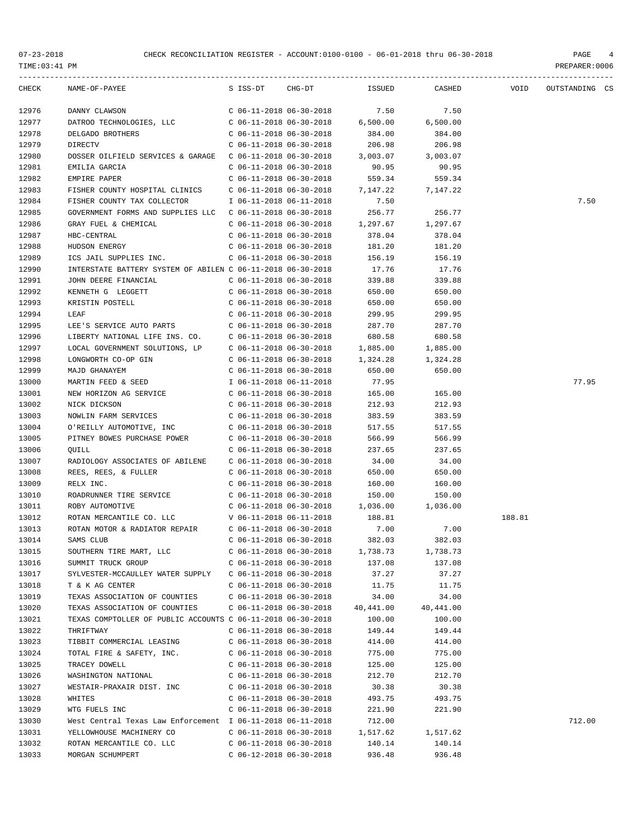| CHECK          | $\begin{array}{cccccccccc} \mathtt{NAME-OF-PAYEE} & \mathtt{S} & \mathtt{ISS-DT} & \mathtt{CHG-DT} & \mathtt{ISSUED} & \mathtt{CASHED} & \mathtt{VOID} \end{array}$ |                                                        |                    |                    |        | OUTSTANDING CS |  |
|----------------|---------------------------------------------------------------------------------------------------------------------------------------------------------------------|--------------------------------------------------------|--------------------|--------------------|--------|----------------|--|
| 12976          | DANNY CLAWSON                                                                                                                                                       | C 06-11-2018 06-30-2018                                | 7.50               | 7.50               |        |                |  |
| 12977          | DATROO TECHNOLOGIES, LLC C 06-11-2018 06-30-2018                                                                                                                    |                                                        | 6,500.00           | 6,500.00           |        |                |  |
| 12978          | DELGADO BROTHERS                                                                                                                                                    | C 06-11-2018 06-30-2018                                | 384.00             | 384.00             |        |                |  |
| 12979          | <b>DIRECTV</b>                                                                                                                                                      | $C$ 06-11-2018 06-30-2018                              | 206.98             | 206.98             |        |                |  |
| 12980          | DOSSER OILFIELD SERVICES & GARAGE  C 06-11-2018 06-30-2018                                                                                                          |                                                        | 3,003.07           | 3,003.07           |        |                |  |
| 12981          | EMILIA GARCIA                                                                                                                                                       | $C$ 06-11-2018 06-30-2018                              | 90.95              | 90.95              |        |                |  |
| 12982          | EMPIRE PAPER                                                                                                                                                        | $C$ 06-11-2018 06-30-2018                              | 559.34             | 559.34             |        |                |  |
| 12983          | FISHER COUNTY HOSPITAL CLINICS                                                                                                                                      | $C$ 06-11-2018 06-30-2018                              | 7,147.22           | 7,147.22           |        |                |  |
| 12984          | FISHER COUNTY TAX COLLECTOR 1 06-11-2018 06-11-2018                                                                                                                 |                                                        | 7.50               |                    |        | 7.50           |  |
| 12985          | GOVERNMENT FORMS AND SUPPLIES LLC  C 06-11-2018 06-30-2018                                                                                                          |                                                        | 256.77             | 256.77             |        |                |  |
| 12986          | GRAY FUEL & CHEMICAL                                                                                                                                                | $C$ 06-11-2018 06-30-2018                              | 1,297.67           | 1,297.67           |        |                |  |
| 12987          | HBC-CENTRAL                                                                                                                                                         | $C$ 06-11-2018 06-30-2018                              | 378.04             | 378.04             |        |                |  |
| 12988          | HUDSON ENERGY                                                                                                                                                       | $C$ 06-11-2018 06-30-2018                              | 181.20             | 181.20             |        |                |  |
| 12989          | ICS JAIL SUPPLIES INC.                                                                                                                                              | $C$ 06-11-2018 06-30-2018                              | 156.19             | 156.19             |        |                |  |
| 12990          | INTERSTATE BATTERY SYSTEM OF ABILEN C 06-11-2018 06-30-2018                                                                                                         |                                                        | 17.76              | 17.76              |        |                |  |
| 12991          | JOHN DEERE FINANCIAL                                                                                                                                                | $C$ 06-11-2018 06-30-2018                              | 339.88             | 339.88             |        |                |  |
| 12992          | KENNETH G LEGGETT                                                                                                                                                   | $C$ 06-11-2018 06-30-2018                              | 650.00             | 650.00             |        |                |  |
| 12993          | KRISTIN POSTELL                                                                                                                                                     | $C$ 06-11-2018 06-30-2018                              | 650.00             | 650.00             |        |                |  |
| 12994          | LEAF                                                                                                                                                                | $C$ 06-11-2018 06-30-2018                              | 299.95             | 299.95             |        |                |  |
| 12995          | LEE'S SERVICE AUTO PARTS C 06-11-2018 06-30-2018                                                                                                                    |                                                        | 287.70             | 287.70             |        |                |  |
| 12996          | LIBERTY NATIONAL LIFE INS. CO. C 06-11-2018 06-30-2018                                                                                                              |                                                        | 680.58             | 680.58             |        |                |  |
| 12997          | LOCAL GOVERNMENT SOLUTIONS, LP                                                                                                                                      | C 06-11-2018 06-30-2018                                | 1,885.00           | 1,885.00           |        |                |  |
| 12998          | LONGWORTH CO-OP GIN                                                                                                                                                 | $C$ 06-11-2018 06-30-2018                              | 1,324.28           | 1,324.28           |        |                |  |
| 12999          | MAJD GHANAYEM                                                                                                                                                       | $C$ 06-11-2018 06-30-2018                              | 650.00             | 650.00             |        |                |  |
| 13000          | MARTIN FEED & SEED                                                                                                                                                  | I 06-11-2018 06-11-2018                                | 77.95              |                    |        | 77.95          |  |
| 13001          | NEW HORIZON AG SERVICE C 06-11-2018 06-30-2018                                                                                                                      |                                                        | 165.00             | 165.00             |        |                |  |
| 13002          | NICK DICKSON                                                                                                                                                        | $C$ 06-11-2018 06-30-2018                              | 212.93             | 212.93             |        |                |  |
| 13003          | NOWLIN FARM SERVICES                                                                                                                                                | $C$ 06-11-2018 06-30-2018                              | 383.59             | 383.59             |        |                |  |
| 13004          | O'REILLY AUTOMOTIVE, INC                                                                                                                                            | C 06-11-2018 06-30-2018                                | 517.55             | 517.55             |        |                |  |
| 13005          | PITNEY BOWES PURCHASE POWER                                                                                                                                         | C 06-11-2018 06-30-2018                                | 566.99             | 566.99             |        |                |  |
| 13006          | OUILL                                                                                                                                                               | $C$ 06-11-2018 06-30-2018                              | 237.65             | 237.65             |        |                |  |
| 13007          | RADIOLOGY ASSOCIATES OF ABILENE C 06-11-2018 06-30-2018                                                                                                             |                                                        | 34.00              | 34.00              |        |                |  |
| 13008          | REES, REES, & FULLER<br>RELX INC.                                                                                                                                   | $C$ 06-11-2018 06-30-2018<br>$C$ 06-11-2018 06-30-2018 | 650.00<br>160.00   | 650.00             |        |                |  |
| 13009          | ROADRUNNER TIRE SERVICE                                                                                                                                             |                                                        |                    | 160.00             |        |                |  |
| 13010<br>13011 |                                                                                                                                                                     | $C$ 06-11-2018 06-30-2018                              | 150.00<br>1,036.00 | 150.00<br>1,036.00 |        |                |  |
| 13012          | ROBY AUTOMOTIVE<br>ROTAN MERCANTILE CO. LLC                                                                                                                         | C 06-11-2018 06-30-2018<br>$V$ 06-11-2018 06-11-2018   | 188.81             |                    | 188.81 |                |  |
| 13013          | ROTAN MOTOR & RADIATOR REPAIR C 06-11-2018 06-30-2018                                                                                                               |                                                        | 7.00               | 7.00               |        |                |  |
| 13014          | SAMS CLUB                                                                                                                                                           | $C$ 06-11-2018 06-30-2018                              | 382.03             | 382.03             |        |                |  |
| 13015          | SOUTHERN TIRE MART, LLC                                                                                                                                             | $C$ 06-11-2018 06-30-2018                              | 1,738.73           | 1,738.73           |        |                |  |
| 13016          | SUMMIT TRUCK GROUP                                                                                                                                                  | C 06-11-2018 06-30-2018                                | 137.08             | 137.08             |        |                |  |
| 13017          | SYLVESTER-MCCAULLEY WATER SUPPLY                                                                                                                                    | C 06-11-2018 06-30-2018                                | 37.27              | 37.27              |        |                |  |
| 13018          | T & K AG CENTER                                                                                                                                                     | C 06-11-2018 06-30-2018                                | 11.75              | 11.75              |        |                |  |
| 13019          | TEXAS ASSOCIATION OF COUNTIES                                                                                                                                       | $C$ 06-11-2018 06-30-2018                              | 34.00              | 34.00              |        |                |  |
| 13020          | TEXAS ASSOCIATION OF COUNTIES                                                                                                                                       | $C$ 06-11-2018 06-30-2018                              | 40,441.00          | 40,441.00          |        |                |  |
| 13021          | TEXAS COMPTOLLER OF PUBLIC ACCOUNTS C 06-11-2018 06-30-2018                                                                                                         |                                                        | 100.00             | 100.00             |        |                |  |
| 13022          | THRIFTWAY                                                                                                                                                           | $C$ 06-11-2018 06-30-2018                              | 149.44             | 149.44             |        |                |  |
| 13023          | TIBBIT COMMERCIAL LEASING                                                                                                                                           | $C$ 06-11-2018 06-30-2018                              | 414.00             | 414.00             |        |                |  |
| 13024          | TOTAL FIRE & SAFETY, INC.                                                                                                                                           | $C$ 06-11-2018 06-30-2018                              | 775.00             | 775.00             |        |                |  |
| 13025          | TRACEY DOWELL                                                                                                                                                       | $C$ 06-11-2018 06-30-2018                              | 125.00             | 125.00             |        |                |  |
| 13026          | WASHINGTON NATIONAL                                                                                                                                                 | $C$ 06-11-2018 06-30-2018                              | 212.70             | 212.70             |        |                |  |
| 13027          | WESTAIR-PRAXAIR DIST. INC                                                                                                                                           | $C$ 06-11-2018 06-30-2018                              | 30.38              | 30.38              |        |                |  |
| 13028          | WHITES                                                                                                                                                              | $C$ 06-11-2018 06-30-2018                              | 493.75             | 493.75             |        |                |  |
| 13029          | WTG FUELS INC                                                                                                                                                       | $C$ 06-11-2018 06-30-2018                              | 221.90             | 221.90             |        |                |  |
| 13030          | West Central Texas Law Enforcement I 06-11-2018 06-11-2018                                                                                                          |                                                        | 712.00             |                    |        | 712.00         |  |
| 13031          | YELLOWHOUSE MACHINERY CO                                                                                                                                            | $C$ 06-11-2018 06-30-2018                              | 1,517.62           | 1,517.62           |        |                |  |
| 13032          | ROTAN MERCANTILE CO. LLC                                                                                                                                            | $C$ 06-11-2018 06-30-2018                              | 140.14             | 140.14             |        |                |  |
| 13033          | MORGAN SCHUMPERT                                                                                                                                                    | $C$ 06-12-2018 06-30-2018                              | 936.48             | 936.48             |        |                |  |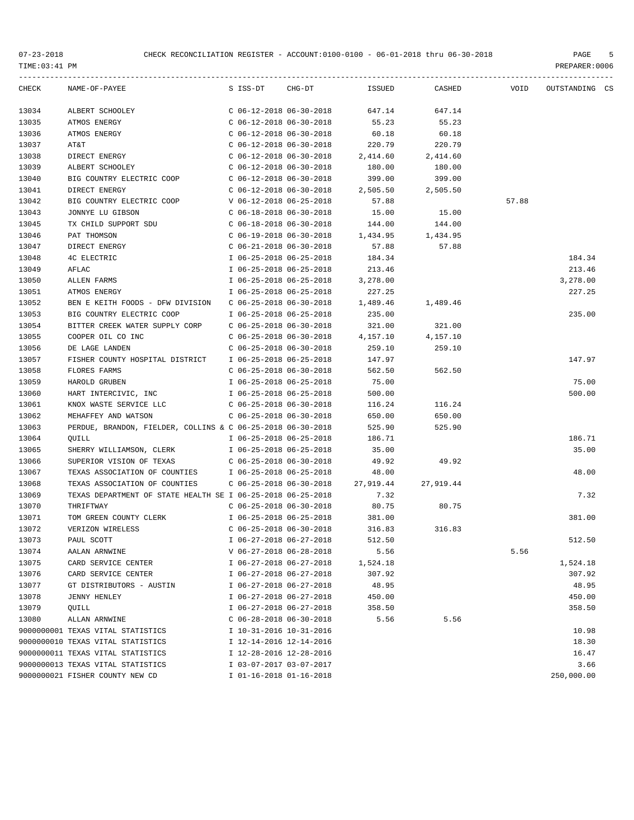| CHECK | NAME-OF-PAYEE                                               | S ISS-DT                  | $CHG-DT$ | ISSUED    | CASHED    | VOID  | OUTSTANDING CS |  |
|-------|-------------------------------------------------------------|---------------------------|----------|-----------|-----------|-------|----------------|--|
| 13034 | ALBERT SCHOOLEY                                             | $C$ 06-12-2018 06-30-2018 |          | 647.14    | 647.14    |       |                |  |
| 13035 | ATMOS ENERGY                                                | $C$ 06-12-2018 06-30-2018 |          | 55.23     | 55.23     |       |                |  |
| 13036 | ATMOS ENERGY                                                | $C$ 06-12-2018 06-30-2018 |          | 60.18     | 60.18     |       |                |  |
| 13037 | AT&T                                                        | $C$ 06-12-2018 06-30-2018 |          | 220.79    | 220.79    |       |                |  |
| 13038 | DIRECT ENERGY                                               | $C$ 06-12-2018 06-30-2018 |          | 2,414.60  | 2,414.60  |       |                |  |
| 13039 | ALBERT SCHOOLEY                                             | $C$ 06-12-2018 06-30-2018 |          | 180.00    | 180.00    |       |                |  |
| 13040 | BIG COUNTRY ELECTRIC COOP                                   | $C$ 06-12-2018 06-30-2018 |          | 399.00    | 399.00    |       |                |  |
| 13041 | DIRECT ENERGY                                               | $C$ 06-12-2018 06-30-2018 |          | 2,505.50  | 2,505.50  |       |                |  |
| 13042 | BIG COUNTRY ELECTRIC COOP                                   | V 06-12-2018 06-25-2018   |          | 57.88     |           | 57.88 |                |  |
| 13043 | JONNYE LU GIBSON                                            | $C$ 06-18-2018 06-30-2018 |          | 15.00     | 15.00     |       |                |  |
| 13045 | TX CHILD SUPPORT SDU                                        | $C$ 06-18-2018 06-30-2018 |          | 144.00    | 144.00    |       |                |  |
| 13046 | PAT THOMSON                                                 | $C$ 06-19-2018 06-30-2018 |          | 1,434.95  | 1,434.95  |       |                |  |
| 13047 | DIRECT ENERGY                                               | $C$ 06-21-2018 06-30-2018 |          | 57.88     | 57.88     |       |                |  |
| 13048 | 4C ELECTRIC                                                 | I 06-25-2018 06-25-2018   |          | 184.34    |           |       | 184.34         |  |
| 13049 | AFLAC                                                       | I 06-25-2018 06-25-2018   |          | 213.46    |           |       | 213.46         |  |
| 13050 | ALLEN FARMS                                                 | I 06-25-2018 06-25-2018   |          | 3,278.00  |           |       | 3,278.00       |  |
| 13051 | ATMOS ENERGY                                                | I 06-25-2018 06-25-2018   |          | 227.25    |           |       | 227.25         |  |
| 13052 | BEN E KEITH FOODS - DFW DIVISION                            | $C$ 06-25-2018 06-30-2018 |          | 1,489.46  | 1,489.46  |       |                |  |
| 13053 | BIG COUNTRY ELECTRIC COOP                                   | I 06-25-2018 06-25-2018   |          | 235.00    |           |       | 235.00         |  |
| 13054 | BITTER CREEK WATER SUPPLY CORP                              | $C$ 06-25-2018 06-30-2018 |          | 321.00    | 321.00    |       |                |  |
| 13055 | COOPER OIL CO INC                                           | $C$ 06-25-2018 06-30-2018 |          | 4,157.10  | 4,157.10  |       |                |  |
| 13056 | DE LAGE LANDEN                                              | $C$ 06-25-2018 06-30-2018 |          | 259.10    | 259.10    |       |                |  |
| 13057 | FISHER COUNTY HOSPITAL DISTRICT                             | I 06-25-2018 06-25-2018   |          | 147.97    |           |       | 147.97         |  |
| 13058 | <b>FLORES FARMS</b>                                         | $C$ 06-25-2018 06-30-2018 |          | 562.50    | 562.50    |       |                |  |
| 13059 | HAROLD GRUBEN                                               | I 06-25-2018 06-25-2018   |          | 75.00     |           |       | 75.00          |  |
| 13060 | HART INTERCIVIC, INC                                        | I 06-25-2018 06-25-2018   |          | 500.00    |           |       | 500.00         |  |
| 13061 | KNOX WASTE SERVICE LLC                                      | $C$ 06-25-2018 06-30-2018 |          | 116.24    | 116.24    |       |                |  |
| 13062 | MEHAFFEY AND WATSON                                         | $C$ 06-25-2018 06-30-2018 |          | 650.00    | 650.00    |       |                |  |
| 13063 | PERDUE, BRANDON, FIELDER, COLLINS & C 06-25-2018 06-30-2018 |                           |          | 525.90    | 525.90    |       |                |  |
| 13064 | QUILL                                                       | I 06-25-2018 06-25-2018   |          | 186.71    |           |       | 186.71         |  |
| 13065 | SHERRY WILLIAMSON, CLERK                                    | I 06-25-2018 06-25-2018   |          | 35.00     |           |       | 35.00          |  |
| 13066 | SUPERIOR VISION OF TEXAS                                    | C 06-25-2018 06-30-2018   |          | 49.92     | 49.92     |       |                |  |
| 13067 | TEXAS ASSOCIATION OF COUNTIES                               | I 06-25-2018 06-25-2018   |          | 48.00     |           |       | 48.00          |  |
| 13068 | TEXAS ASSOCIATION OF COUNTIES                               | $C$ 06-25-2018 06-30-2018 |          | 27,919.44 | 27,919.44 |       |                |  |
| 13069 | TEXAS DEPARTMENT OF STATE HEALTH SE I 06-25-2018 06-25-2018 |                           |          | 7.32      |           |       | 7.32           |  |
| 13070 | THRIFTWAY                                                   | $C$ 06-25-2018 06-30-2018 |          | 80.75     | 80.75     |       |                |  |
| 13071 | TOM GREEN COUNTY CLERK                                      | I 06-25-2018 06-25-2018   |          | 381.00    |           |       | 381.00         |  |
| 13072 | VERIZON WIRELESS                                            | $C$ 06-25-2018 06-30-2018 |          | 316.83    | 316.83    |       |                |  |
| 13073 | PAUL SCOTT                                                  | I 06-27-2018 06-27-2018   |          | 512.50    |           |       | 512.50         |  |
| 13074 | AALAN ARNWINE                                               | V 06-27-2018 06-28-2018   |          | 5.56      |           | 5.56  |                |  |
| 13075 | CARD SERVICE CENTER                                         | I 06-27-2018 06-27-2018   |          | 1,524.18  |           |       | 1,524.18       |  |
| 13076 | CARD SERVICE CENTER                                         | I 06-27-2018 06-27-2018   |          | 307.92    |           |       | 307.92         |  |
| 13077 | GT DISTRIBUTORS - AUSTIN                                    | I 06-27-2018 06-27-2018   |          | 48.95     |           |       | 48.95          |  |
| 13078 | <b>JENNY HENLEY</b>                                         | I 06-27-2018 06-27-2018   |          | 450.00    |           |       | 450.00         |  |
| 13079 | QUILL                                                       | I 06-27-2018 06-27-2018   |          | 358.50    |           |       | 358.50         |  |
| 13080 | ALLAN ARNWINE                                               | $C$ 06-28-2018 06-30-2018 |          | 5.56      | 5.56      |       |                |  |
|       | 9000000001 TEXAS VITAL STATISTICS                           | I 10-31-2016 10-31-2016   |          |           |           |       | 10.98          |  |
|       | 9000000010 TEXAS VITAL STATISTICS                           | I 12-14-2016 12-14-2016   |          |           |           |       | 18.30          |  |
|       | 9000000011 TEXAS VITAL STATISTICS                           | I 12-28-2016 12-28-2016   |          |           |           |       | 16.47          |  |
|       | 9000000013 TEXAS VITAL STATISTICS                           | I 03-07-2017 03-07-2017   |          |           |           |       | 3.66           |  |
|       | 9000000021 FISHER COUNTY NEW CD                             | I 01-16-2018 01-16-2018   |          |           |           |       | 250,000.00     |  |
|       |                                                             |                           |          |           |           |       |                |  |